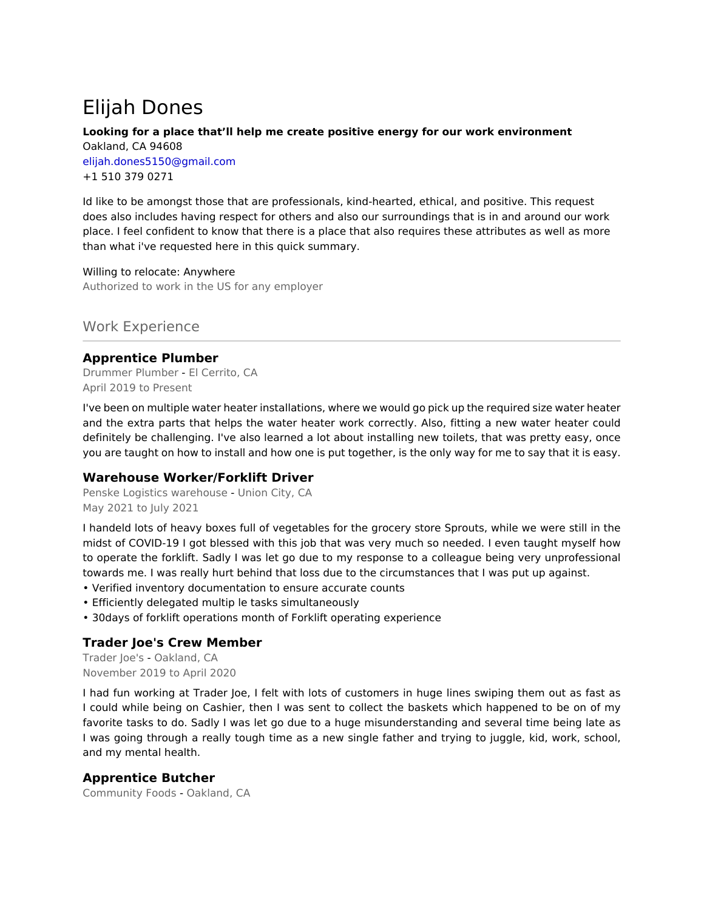# Elijah Dones

## **Looking for a place that'll help me create positive energy for our work environment**

Oakland, CA 94608 elijah.dones5150@gmail.com +1 510 379 0271

Id like to be amongst those that are professionals, kind-hearted, ethical, and positive. This request does also includes having respect for others and also our surroundings that is in and around our work place. I feel confident to know that there is a place that also requires these attributes as well as more than what i've requested here in this quick summary.

Willing to relocate: Anywhere Authorized to work in the US for any employer

Work Experience

## **Apprentice Plumber**

Drummer Plumber - El Cerrito, CA April 2019 to Present

I've been on multiple water heater installations, where we would go pick up the required size water heater and the extra parts that helps the water heater work correctly. Also, fitting a new water heater could definitely be challenging. I've also learned a lot about installing new toilets, that was pretty easy, once you are taught on how to install and how one is put together, is the only way for me to say that it is easy.

## **Warehouse Worker/Forklift Driver**

Penske Logistics warehouse - Union City, CA May 2021 to July 2021

I handeld lots of heavy boxes full of vegetables for the grocery store Sprouts, while we were still in the midst of COVID-19 I got blessed with this job that was very much so needed. I even taught myself how to operate the forklift. Sadly I was let go due to my response to a colleague being very unprofessional towards me. I was really hurt behind that loss due to the circumstances that I was put up against.

- Verified inventory documentation to ensure accurate counts
- Efficiently delegated multip le tasks simultaneously
- 30days of forklift operations month of Forklift operating experience

## **Trader Joe's Crew Member**

Trader Joe's - Oakland, CA November 2019 to April 2020

I had fun working at Trader Joe, I felt with lots of customers in huge lines swiping them out as fast as I could while being on Cashier, then I was sent to collect the baskets which happened to be on of my favorite tasks to do. Sadly I was let go due to a huge misunderstanding and several time being late as I was going through a really tough time as a new single father and trying to juggle, kid, work, school, and my mental health.

## **Apprentice Butcher**

Community Foods - Oakland, CA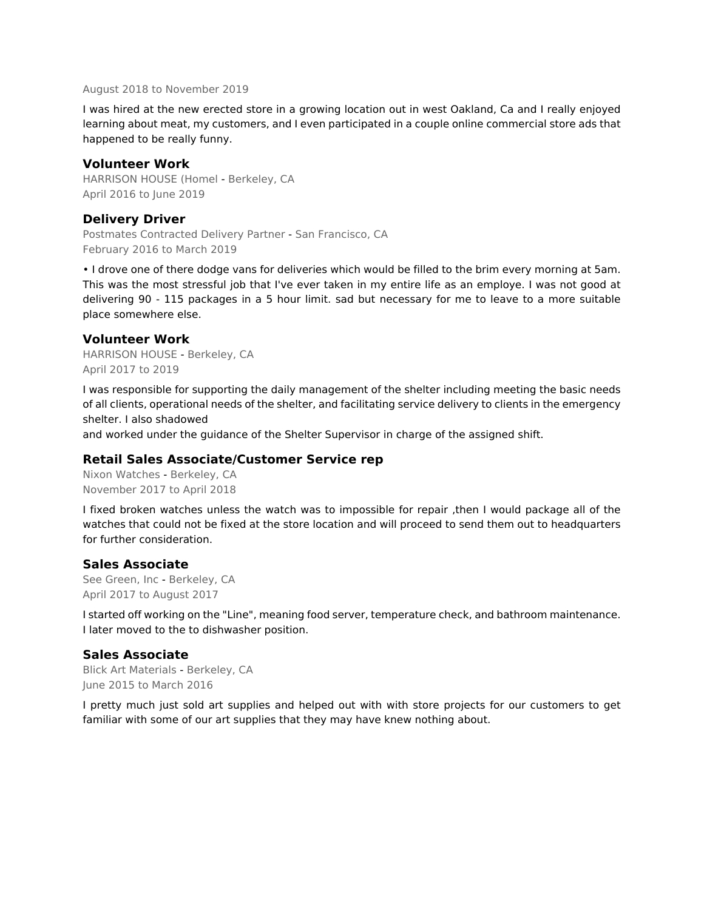#### August 2018 to November 2019

I was hired at the new erected store in a growing location out in west Oakland, Ca and I really enjoyed learning about meat, my customers, and I even participated in a couple online commercial store ads that happened to be really funny.

#### **Volunteer Work**

HARRISON HOUSE (Homel - Berkeley, CA April 2016 to June 2019

#### **Delivery Driver**

Postmates Contracted Delivery Partner - San Francisco, CA February 2016 to March 2019

• I drove one of there dodge vans for deliveries which would be filled to the brim every morning at 5am. This was the most stressful job that I've ever taken in my entire life as an employe. I was not good at delivering 90 - 115 packages in a 5 hour limit. sad but necessary for me to leave to a more suitable place somewhere else.

#### **Volunteer Work**

HARRISON HOUSE - Berkeley, CA April 2017 to 2019

I was responsible for supporting the daily management of the shelter including meeting the basic needs of all clients, operational needs of the shelter, and facilitating service delivery to clients in the emergency shelter. I also shadowed

and worked under the guidance of the Shelter Supervisor in charge of the assigned shift.

## **Retail Sales Associate/Customer Service rep**

Nixon Watches - Berkeley, CA November 2017 to April 2018

I fixed broken watches unless the watch was to impossible for repair ,then I would package all of the watches that could not be fixed at the store location and will proceed to send them out to headquarters for further consideration.

#### **Sales Associate**

See Green, Inc - Berkeley, CA April 2017 to August 2017

I started off working on the "Line", meaning food server, temperature check, and bathroom maintenance. I later moved to the to dishwasher position.

## **Sales Associate**

Blick Art Materials - Berkeley, CA June 2015 to March 2016

I pretty much just sold art supplies and helped out with with store projects for our customers to get familiar with some of our art supplies that they may have knew nothing about.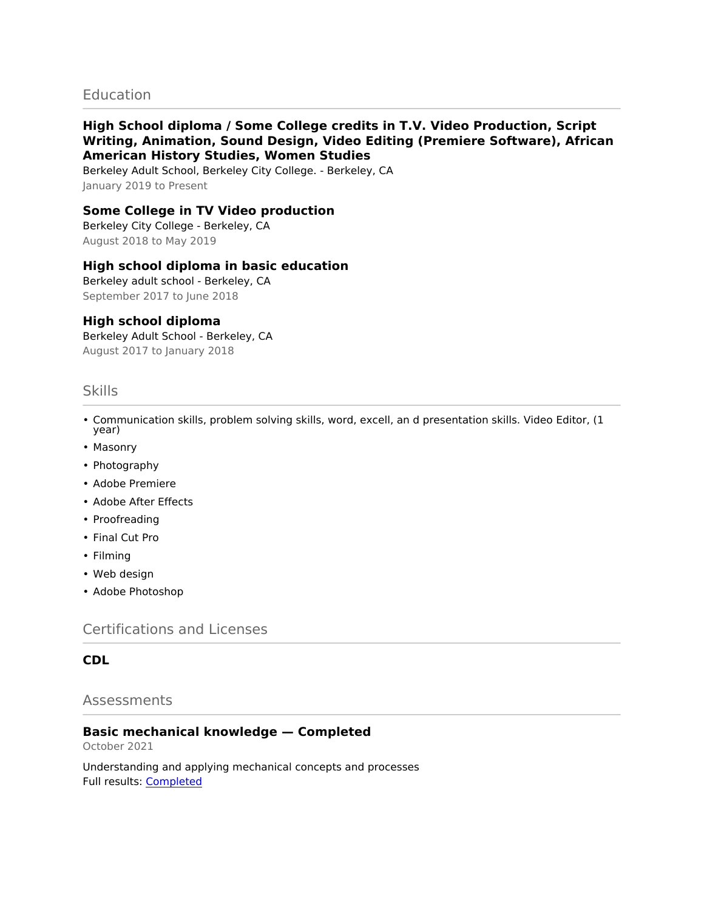## **Education**

## **High School diploma / Some College credits in T.V. Video Production, Script Writing, Animation, Sound Design, Video Editing (Premiere Software), African American History Studies, Women Studies**

Berkeley Adult School, Berkeley City College. - Berkeley, CA January 2019 to Present

## **Some College in TV Video production**

Berkeley City College - Berkeley, CA August 2018 to May 2019

## **High school diploma in basic education**

Berkeley adult school - Berkeley, CA September 2017 to June 2018

#### **High school diploma**

Berkeley Adult School - Berkeley, CA August 2017 to January 2018

## Skills

- Communication skills, problem solving skills, word, excell, an d presentation skills. Video Editor, (1 year)
- Masonry
- Photography
- Adobe Premiere
- Adobe After Effects
- Proofreading
- Final Cut Pro
- Filming
- Web design
- Adobe Photoshop

Certifications and Licenses

## **CDL**

## Assessments

## **Basic mechanical knowledge — Completed**

October 2021

Understanding and applying mechanical concepts and processes Full results: [Completed](https://share.indeedassessments.com/attempts/ec87c78417d8ed81fe5323830b5564bfeed53dc074545cb7)